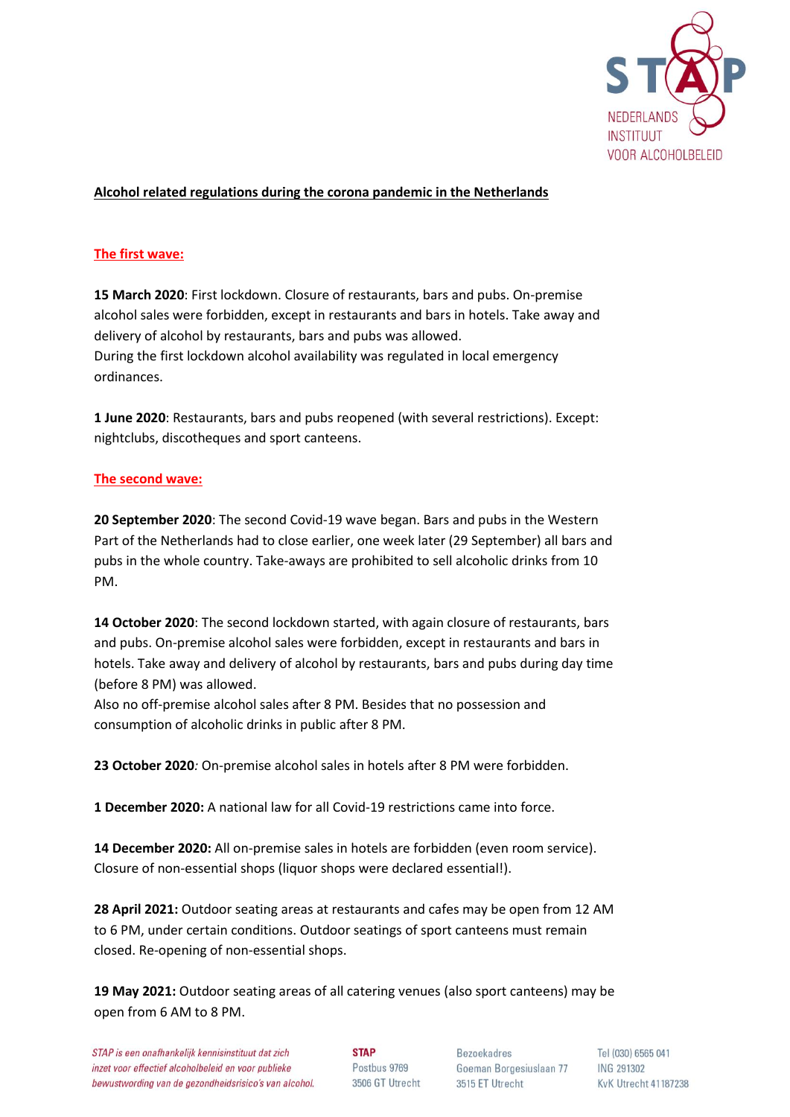

# **Alcohol related regulations during the corona pandemic in the Netherlands**

## **The first wave:**

**15 March 2020**: First lockdown. Closure of restaurants, bars and pubs. On-premise alcohol sales were forbidden, except in restaurants and bars in hotels. Take away and delivery of alcohol by restaurants, bars and pubs was allowed. During the first lockdown alcohol availability was regulated in local emergency ordinances.

**1 June 2020**: Restaurants, bars and pubs reopened (with several restrictions). Except: nightclubs, discotheques and sport canteens.

### **The second wave:**

**20 September 2020**: The second Covid-19 wave began. Bars and pubs in the Western Part of the Netherlands had to close earlier, one week later (29 September) all bars and pubs in the whole country. Take-aways are prohibited to sell alcoholic drinks from 10 PM.

**14 October 2020**: The second lockdown started, with again closure of restaurants, bars and pubs. On-premise alcohol sales were forbidden, except in restaurants and bars in hotels. Take away and delivery of alcohol by restaurants, bars and pubs during day time (before 8 PM) was allowed.

Also no off-premise alcohol sales after 8 PM. Besides that no possession and consumption of alcoholic drinks in public after 8 PM.

**23 October 2020***:* On-premise alcohol sales in hotels after 8 PM were forbidden.

**1 December 2020:** A national law for all Covid-19 restrictions came into force.

**14 December 2020:** All on-premise sales in hotels are forbidden (even room service). Closure of non-essential shops (liquor shops were declared essential!).

**28 April 2021:** Outdoor seating areas at restaurants and cafes may be open from 12 AM to 6 PM, under certain conditions. Outdoor seatings of sport canteens must remain closed. Re-opening of non-essential shops.

**19 May 2021:** Outdoor seating areas of all catering venues (also sport canteens) may be open from 6 AM to 8 PM.

**STAP** Postbus 9769 3506 GT Utrecht

Bezoekadres Goeman Borgesiuslaan 77 3515 ET Utrecht

Tel (030) 6565 041 ING 291302 KvK Utrecht 41187238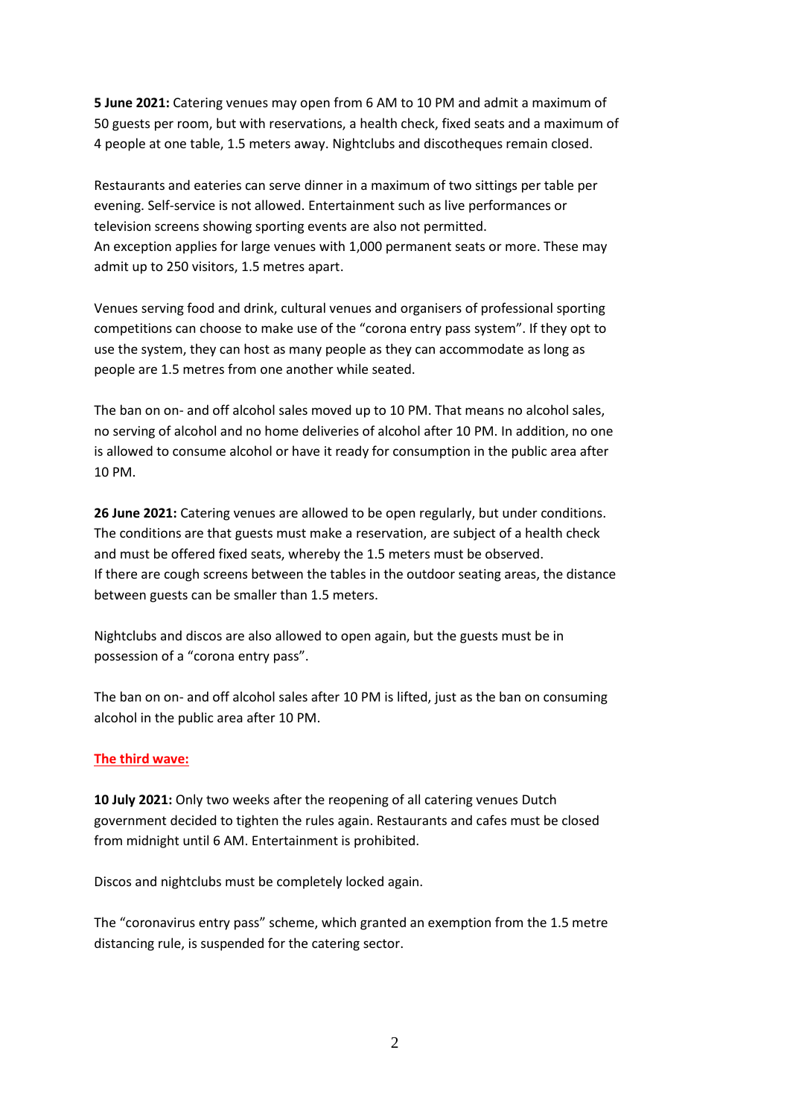**5 June 2021:** Catering venues may open from 6 AM to 10 PM and admit a maximum of 50 guests per room, but with reservations, a health check, fixed seats and a maximum of 4 people at one table, 1.5 meters away. Nightclubs and discotheques remain closed.

Restaurants and eateries can serve dinner in a maximum of two sittings per table per evening. Self-service is not allowed. Entertainment such as live performances or television screens showing sporting events are also not permitted. An exception applies for large venues with 1,000 permanent seats or more. These may admit up to 250 visitors, 1.5 metres apart.

Venues serving food and drink, cultural venues and organisers of professional sporting competitions can choose to make use of the "corona entry pass system". If they opt to use the system, they can host as many people as they can accommodate as long as people are 1.5 metres from one another while seated.

The ban on on- and off alcohol sales moved up to 10 PM. That means no alcohol sales, no serving of alcohol and no home deliveries of alcohol after 10 PM. In addition, no one is allowed to consume alcohol or have it ready for consumption in the public area after 10 PM.

**26 June 2021:** Catering venues are allowed to be open regularly, but under conditions. The conditions are that guests must make a reservation, are subject of a health check and must be offered fixed seats, whereby the 1.5 meters must be observed. If there are cough screens between the tables in the outdoor seating areas, the distance between guests can be smaller than 1.5 meters.

Nightclubs and discos are also allowed to open again, but the guests must be in possession of a "corona entry pass".

The ban on on- and off alcohol sales after 10 PM is lifted, just as the ban on consuming alcohol in the public area after 10 PM.

## **The third wave:**

**10 July 2021:** Only two weeks after the reopening of all catering venues Dutch government decided to tighten the rules again. Restaurants and cafes must be closed from midnight until 6 AM. Entertainment is prohibited.

Discos and nightclubs must be completely locked again.

The "coronavirus entry pass" scheme, which granted an exemption from the 1.5 metre distancing rule, is suspended for the catering sector.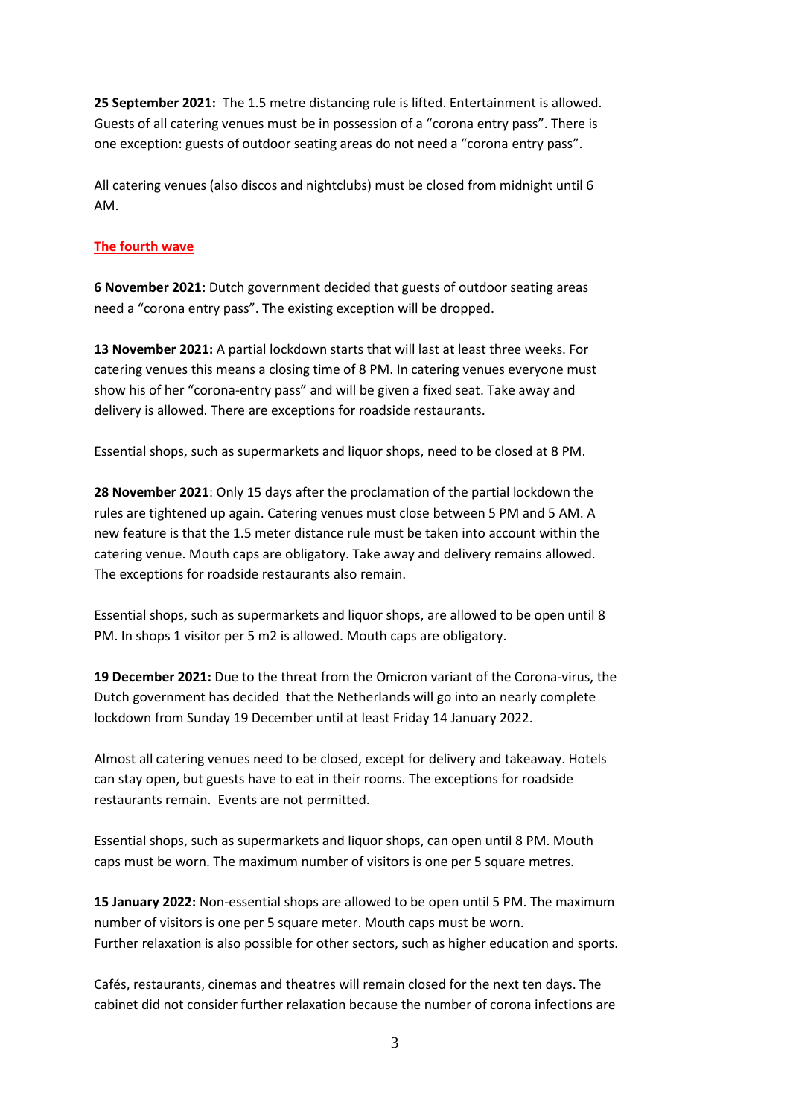**25 September 2021:** The 1.5 metre distancing rule is lifted. Entertainment is allowed. Guests of all catering venues must be in possession of a "corona entry pass". There is one exception: guests of outdoor seating areas do not need a "corona entry pass".

All catering venues (also discos and nightclubs) must be closed from midnight until 6 AM.

### **The fourth wave**

**6 November 2021:** Dutch government decided that guests of outdoor seating areas need a "corona entry pass". The existing exception will be dropped.

**13 November 2021:** A partial lockdown starts that will last at least three weeks. For catering venues this means a closing time of 8 PM. In catering venues everyone must show his of her "corona-entry pass" and will be given a fixed seat. Take away and delivery is allowed. There are exceptions for roadside restaurants.

Essential shops, such as supermarkets and liquor shops, need to be closed at 8 PM.

**28 November 2021**: Only 15 days after the proclamation of the partial lockdown the rules are tightened up again. Catering venues must close between 5 PM and 5 AM. A new feature is that the 1.5 meter distance rule must be taken into account within the catering venue. Mouth caps are obligatory. Take away and delivery remains allowed. The exceptions for roadside restaurants also remain.

Essential shops, such as supermarkets and liquor shops, are allowed to be open until 8 PM. In shops 1 visitor per 5 m2 is allowed. Mouth caps are obligatory.

**19 December 2021:** Due to the threat from the Omicron variant of the Corona-virus, the Dutch government has decided that the Netherlands will go into an nearly complete lockdown from Sunday 19 December until at least Friday 14 January 2022.

Almost all catering venues need to be closed, except for delivery and takeaway. Hotels can stay open, but guests have to eat in their rooms. The exceptions for roadside restaurants remain. Events are not permitted.

Essential shops, such as supermarkets and liquor shops, can open until 8 PM. Mouth caps must be worn. The maximum number of visitors is one per 5 square metres.

**15 January 2022:** Non-essential shops are allowed to be open until 5 PM. The maximum number of visitors is one per 5 square meter. Mouth caps must be worn. Further relaxation is also possible for other sectors, such as higher education and sports.

Cafés, restaurants, cinemas and theatres will remain closed for the next ten days. The cabinet did not consider further relaxation because the number of corona infections are